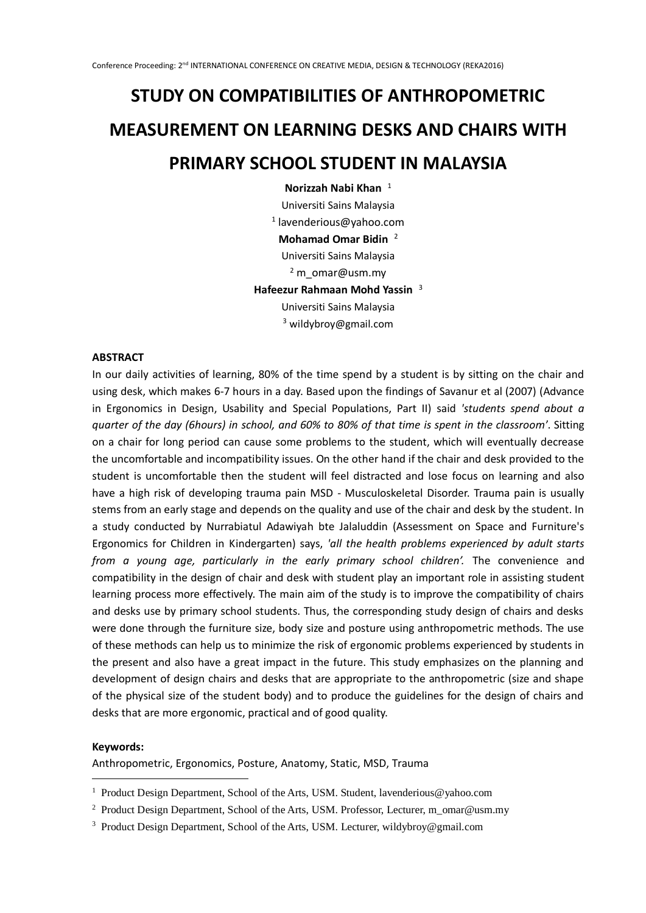# **STUDY ON COMPATIBILITIES OF ANTHROPOMETRIC MEASUREMENT ON LEARNING DESKS AND CHAIRS WITH PRIMARY SCHOOL STUDENT IN MALAYSIA**

**Norizzah Nabi Khan** <sup>1</sup> Universiti Sains Malaysia 1 lavenderious@yahoo.com **Mohamad Omar Bidin** <sup>2</sup> Universiti Sains Malaysia <sup>2</sup> m\_omar@usm.my **Hafeezur Rahmaan Mohd Yassin** <sup>3</sup> Universiti Sains Malaysia <sup>3</sup> wildybroy@gmail.com

## **ABSTRACT**

In our daily activities of learning, 80% of the time spend by a student is by sitting on the chair and using desk, which makes 6-7 hours in a day. Based upon the findings of Savanur et al (2007) (Advance in Ergonomics in Design, Usability and Special Populations, Part II) said *'students spend about a quarter of the day (6hours) in school, and 60% to 80% of that time is spent in the classroom*'. Sitting on a chair for long period can cause some problems to the student, which will eventually decrease the uncomfortable and incompatibility issues. On the other hand if the chair and desk provided to the student is uncomfortable then the student will feel distracted and lose focus on learning and also have a high risk of developing trauma pain MSD - Musculoskeletal Disorder. Trauma pain is usually stems from an early stage and depends on the quality and use of the chair and desk by the student. In a study conducted by Nurrabiatul Adawiyah bte Jalaluddin (Assessment on Space and Furniture's Ergonomics for Children in Kindergarten) says, *'all the health problems experienced by adult starts from a young age, particularly in the early primary school children'.* The convenience and compatibility in the design of chair and desk with student play an important role in assisting student learning process more effectively. The main aim of the study is to improve the compatibility of chairs and desks use by primary school students. Thus, the corresponding study design of chairs and desks were done through the furniture size, body size and posture using anthropometric methods. The use of these methods can help us to minimize the risk of ergonomic problems experienced by students in the present and also have a great impact in the future. This study emphasizes on the planning and development of design chairs and desks that are appropriate to the anthropometric (size and shape of the physical size of the student body) and to produce the guidelines for the design of chairs and desks that are more ergonomic, practical and of good quality.

#### **Keywords:**

-

Anthropometric, Ergonomics, Posture, Anatomy, Static, MSD, Trauma

<sup>&</sup>lt;sup>1</sup> Product Design Department, School of the Arts, USM. Student, lavenderious @yahoo.com

<sup>&</sup>lt;sup>2</sup> Product Design Department, School of the Arts, USM. Professor, Lecturer, m\_omar@usm.my

<sup>&</sup>lt;sup>3</sup> Product Design Department, School of the Arts, USM. Lecturer, wildybroy@gmail.com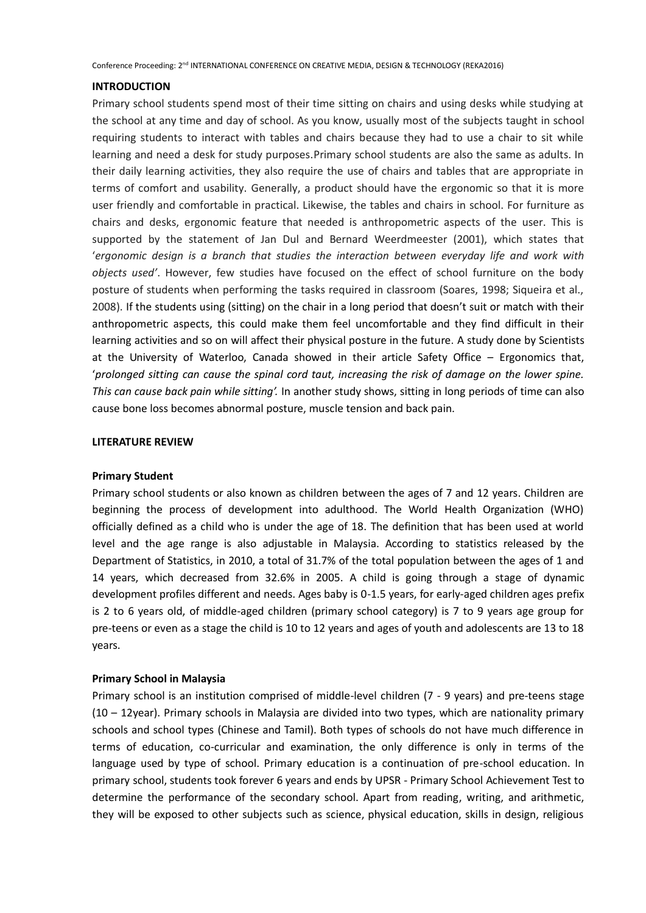Conference Proceeding: 2nd INTERNATIONAL CONFERENCE ON CREATIVE MEDIA, DESIGN & TECHNOLOGY (REKA2016)

### **INTRODUCTION**

Primary school students spend most of their time sitting on chairs and using desks while studying at the school at any time and day of school. As you know, usually most of the subjects taught in school requiring students to interact with tables and chairs because they had to use a chair to sit while learning and need a desk for study purposes.Primary school students are also the same as adults. In their daily learning activities, they also require the use of chairs and tables that are appropriate in terms of comfort and usability. Generally, a product should have the ergonomic so that it is more user friendly and comfortable in practical. Likewise, the tables and chairs in school. For furniture as chairs and desks, ergonomic feature that needed is anthropometric aspects of the user. This is supported by the statement of Jan Dul and Bernard Weerdmeester (2001), which states that '*ergonomic design is a branch that studies the interaction between everyday life and work with objects used'*. However, few studies have focused on the effect of school furniture on the body posture of students when performing the tasks required in classroom (Soares, 1998; Siqueira et al., 2008). If the students using (sitting) on the chair in a long period that doesn't suit or match with their anthropometric aspects, this could make them feel uncomfortable and they find difficult in their learning activities and so on will affect their physical posture in the future. A study done by Scientists at the University of Waterloo, Canada showed in their article Safety Office – Ergonomics that, '*prolonged sitting can cause the spinal cord taut, increasing the risk of damage on the lower spine. This can cause back pain while sitting'.* In another study shows, sitting in long periods of time can also cause bone loss becomes abnormal posture, muscle tension and back pain.

#### **LITERATURE REVIEW**

#### **Primary Student**

Primary school students or also known as children between the ages of 7 and 12 years. Children are beginning the process of development into adulthood. The World Health Organization (WHO) officially defined as a child who is under the age of 18. The definition that has been used at world level and the age range is also adjustable in Malaysia. According to statistics released by the Department of Statistics, in 2010, a total of 31.7% of the total population between the ages of 1 and 14 years, which decreased from 32.6% in 2005. A child is going through a stage of dynamic development profiles different and needs. Ages baby is 0-1.5 years, for early-aged children ages prefix is 2 to 6 years old, of middle-aged children (primary school category) is 7 to 9 years age group for pre-teens or even as a stage the child is 10 to 12 years and ages of youth and adolescents are 13 to 18 years.

### **Primary School in Malaysia**

Primary school is an institution comprised of middle-level children (7 - 9 years) and pre-teens stage (10 – 12year). Primary schools in Malaysia are divided into two types, which are nationality primary schools and school types (Chinese and Tamil). Both types of schools do not have much difference in terms of education, co-curricular and examination, the only difference is only in terms of the language used by type of school. Primary education is a continuation of pre-school education. In primary school, students took forever 6 years and ends by UPSR - Primary School Achievement Test to determine the performance of the secondary school. Apart from reading, writing, and arithmetic, they will be exposed to other subjects such as science, physical education, skills in design, religious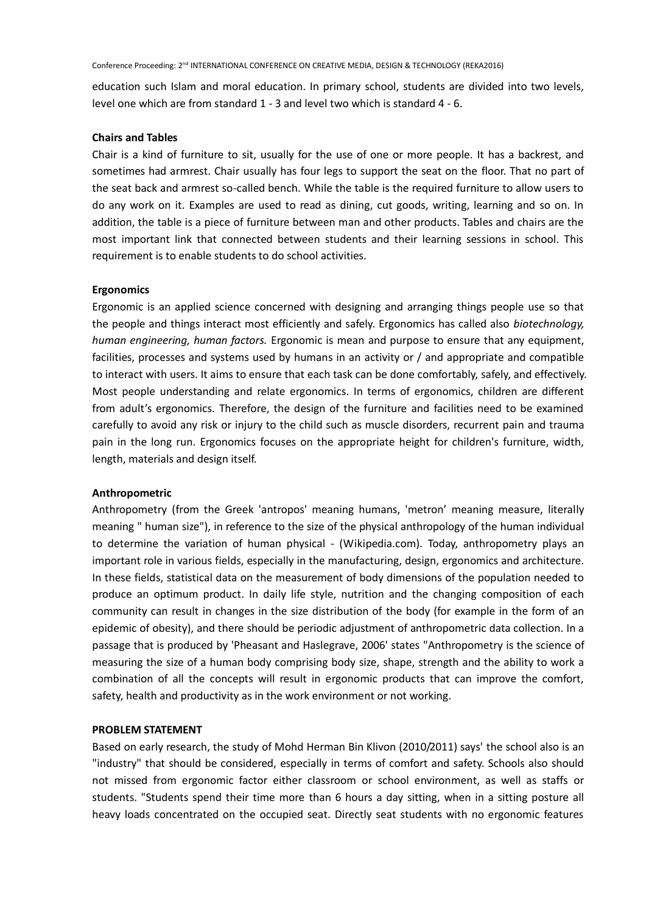Conference Proceeding: 2nd INTERNATIONAL CONFERENCE ON CREATIVE MEDIA, DESIGN & TECHNOLOGY (REKA2016)

education such Islam and moral education. In primary school, students are divided into two levels, level one which are from standard 1 - 3 and level two which is standard 4 - 6.

## **Chairs and Tables**

Chair is a kind of furniture to sit, usually for the use of one or more people. It has a backrest, and sometimes had armrest. Chair usually has four legs to support the seat on the floor. That no part of the seat back and armrest so-called bench. While the table is the required furniture to allow users to do any work on it. Examples are used to read as dining, cut goods, writing, learning and so on. In addition, the table is a piece of furniture between man and other products. Tables and chairs are the most important link that connected between students and their learning sessions in school. This requirement is to enable students to do school activities.

#### **Ergonomics**

Ergonomic is an applied science concerned with designing and arranging things people use so that the people and things interact most efficiently and safely. Ergonomics has called also *biotechnology, human engineering, human factors.* Ergonomic is mean and purpose to ensure that any equipment, facilities, processes and systems used by humans in an activity or / and appropriate and compatible to interact with users. It aims to ensure that each task can be done comfortably, safely, and effectively. Most people understanding and relate ergonomics. In terms of ergonomics, children are different from adult's ergonomics. Therefore, the design of the furniture and facilities need to be examined carefully to avoid any risk or injury to the child such as muscle disorders, recurrent pain and trauma pain in the long run. Ergonomics focuses on the appropriate height for children's furniture, width, length, materials and design itself.

#### **Anthropometric**

Anthropometry (from the Greek 'antropos' meaning humans, 'metron' meaning measure, literally meaning " human size"), in reference to the size of the physical anthropology of the human individual to determine the variation of human physical - (Wikipedia.com). Today, anthropometry plays an important role in various fields, especially in the manufacturing, design, ergonomics and architecture. In these fields, statistical data on the measurement of body dimensions of the population needed to produce an optimum product. In daily life style, nutrition and the changing composition of each community can result in changes in the size distribution of the body (for example in the form of an epidemic of obesity), and there should be periodic adjustment of anthropometric data collection. In a passage that is produced by 'Pheasant and Haslegrave, 2006' states "Anthropometry is the science of measuring the size of a human body comprising body size, shape, strength and the ability to work a combination of all the concepts will result in ergonomic products that can improve the comfort, safety, health and productivity as in the work environment or not working.

### **PROBLEM STATEMENT**

Based on early research, the study of Mohd Herman Bin Klivon (2010/2011) says' the school also is an "industry" that should be considered, especially in terms of comfort and safety. Schools also should not missed from ergonomic factor either classroom or school environment, as well as staffs or students. "Students spend their time more than 6 hours a day sitting, when in a sitting posture all heavy loads concentrated on the occupied seat. Directly seat students with no ergonomic features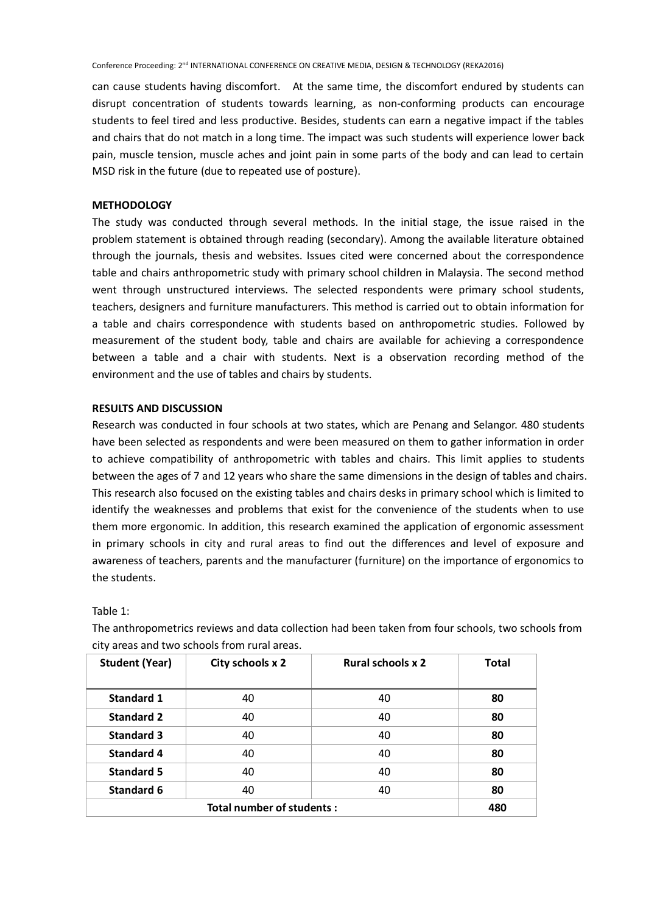can cause students having discomfort. At the same time, the discomfort endured by students can disrupt concentration of students towards learning, as non-conforming products can encourage students to feel tired and less productive. Besides, students can earn a negative impact if the tables and chairs that do not match in a long time. The impact was such students will experience lower back pain, muscle tension, muscle aches and joint pain in some parts of the body and can lead to certain MSD risk in the future (due to repeated use of posture).

#### **METHODOLOGY**

The study was conducted through several methods. In the initial stage, the issue raised in the problem statement is obtained through reading (secondary). Among the available literature obtained through the journals, thesis and websites. Issues cited were concerned about the correspondence table and chairs anthropometric study with primary school children in Malaysia. The second method went through unstructured interviews. The selected respondents were primary school students, teachers, designers and furniture manufacturers. This method is carried out to obtain information for a table and chairs correspondence with students based on anthropometric studies. Followed by measurement of the student body, table and chairs are available for achieving a correspondence between a table and a chair with students. Next is a observation recording method of the environment and the use of tables and chairs by students.

## **RESULTS AND DISCUSSION**

Research was conducted in four schools at two states, which are Penang and Selangor. 480 students have been selected as respondents and were been measured on them to gather information in order to achieve compatibility of anthropometric with tables and chairs. This limit applies to students between the ages of 7 and 12 years who share the same dimensions in the design of tables and chairs. This research also focused on the existing tables and chairs desks in primary school which is limited to identify the weaknesses and problems that exist for the convenience of the students when to use them more ergonomic. In addition, this research examined the application of ergonomic assessment in primary schools in city and rural areas to find out the differences and level of exposure and awareness of teachers, parents and the manufacturer (furniture) on the importance of ergonomics to the students.

Table 1:

The anthropometrics reviews and data collection had been taken from four schools, two schools from city areas and two schools from rural areas.

| <b>Student (Year)</b>     | City schools x 2 | <b>Rural schools x 2</b> | <b>Total</b> |
|---------------------------|------------------|--------------------------|--------------|
|                           |                  |                          |              |
| <b>Standard 1</b>         | 40               | 40                       | 80           |
| <b>Standard 2</b>         | 40               | 40                       | 80           |
| <b>Standard 3</b>         | 40               | 40                       | 80           |
| <b>Standard 4</b>         | 40               | 40                       | 80           |
| <b>Standard 5</b>         | 40               | 40                       | 80           |
| <b>Standard 6</b>         | 40               | 40                       | 80           |
| Total number of students: |                  |                          | 480          |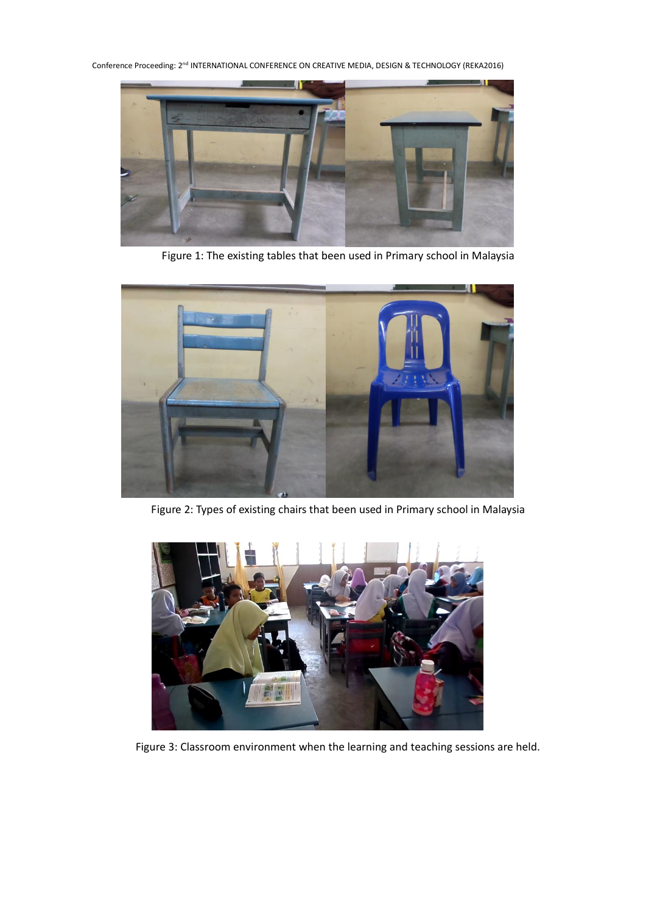Conference Proceeding: 2<sup>nd</sup> INTERNATIONAL CONFERENCE ON CREATIVE MEDIA, DESIGN & TECHNOLOGY (REKA2016)



Figure 1: The existing tables that been used in Primary school in Malaysia



Figure 2: Types of existing chairs that been used in Primary school in Malaysia



Figure 3: Classroom environment when the learning and teaching sessions are held.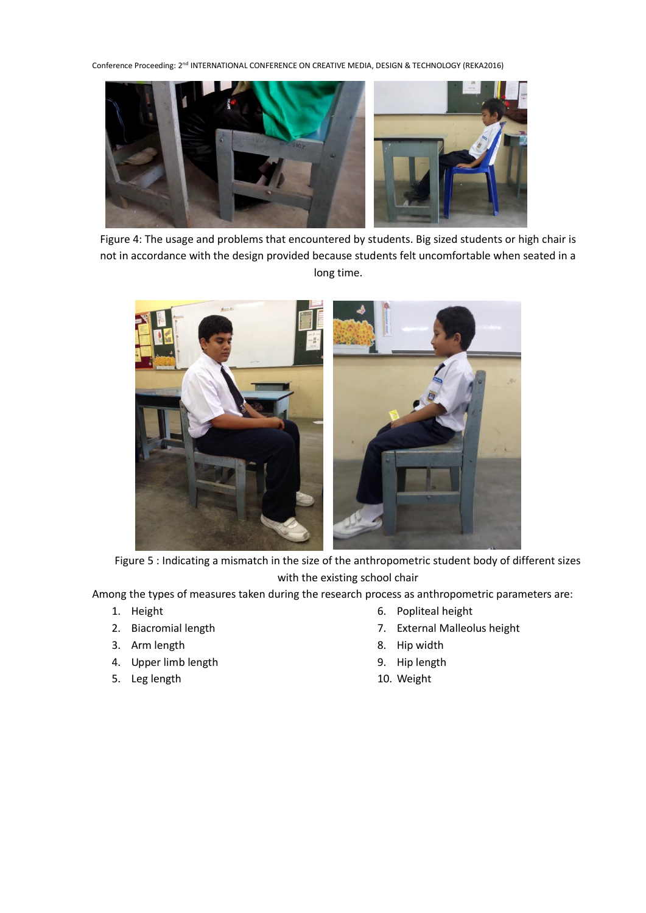Conference Proceeding: 2<sup>nd</sup> INTERNATIONAL CONFERENCE ON CREATIVE MEDIA, DESIGN & TECHNOLOGY (REKA2016)



Figure 4: The usage and problems that encountered by students. Big sized students or high chair is not in accordance with the design provided because students felt uncomfortable when seated in a long time.



Figure 5 : Indicating a mismatch in the size of the anthropometric student body of different sizes with the existing school chair

Among the types of measures taken during the research process as anthropometric parameters are:

- 1. Height
- 2. Biacromial length
- 3. Arm length
- 4. Upper limb length
- 5. Leg length
- 6. Popliteal height
- 7. External Malleolus height
- 8. Hip width
- 9. Hip length
- 10. Weight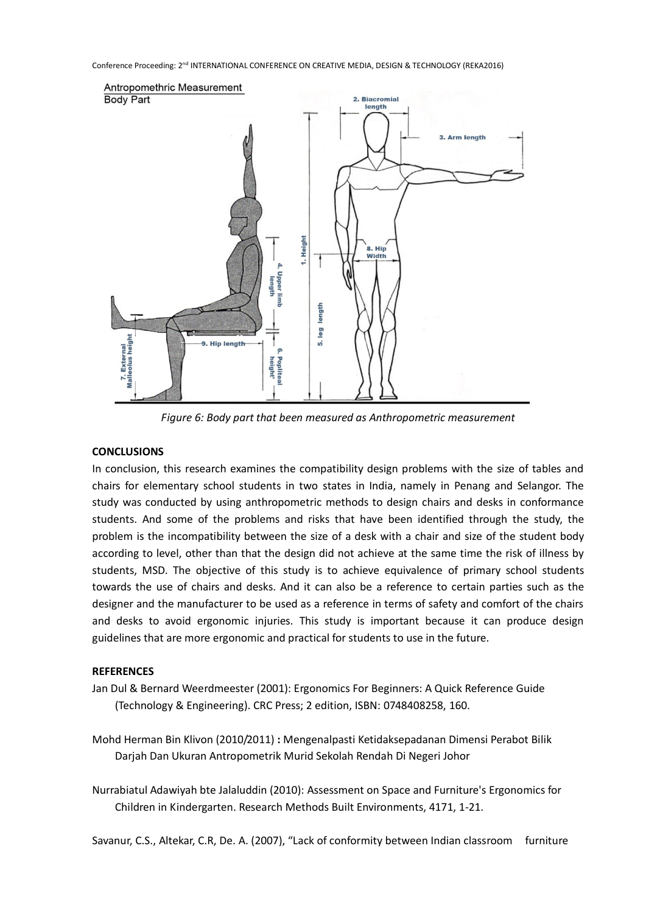

*Figure 6: Body part that been measured as Anthropometric measurement*

## **CONCLUSIONS**

In conclusion, this research examines the compatibility design problems with the size of tables and chairs for elementary school students in two states in India, namely in Penang and Selangor. The study was conducted by using anthropometric methods to design chairs and desks in conformance students. And some of the problems and risks that have been identified through the study, the problem is the incompatibility between the size of a desk with a chair and size of the student body according to level, other than that the design did not achieve at the same time the risk of illness by students, MSD. The objective of this study is to achieve equivalence of primary school students towards the use of chairs and desks. And it can also be a reference to certain parties such as the designer and the manufacturer to be used as a reference in terms of safety and comfort of the chairs and desks to avoid ergonomic injuries. This study is important because it can produce design guidelines that are more ergonomic and practical for students to use in the future.

### **REFERENCES**

- Jan Dul & Bernard Weerdmeester (2001): Ergonomics For Beginners: A Quick Reference Guide (Technology & Engineering). CRC Press; 2 edition, ISBN: 0748408258, 160.
- Mohd Herman Bin Klivon (2010/2011) **:** Mengenalpasti Ketidaksepadanan Dimensi Perabot Bilik Darjah Dan Ukuran Antropometrik Murid Sekolah Rendah Di Negeri Johor
- Nurrabiatul Adawiyah bte Jalaluddin (2010): Assessment on Space and Furniture's Ergonomics for Children in Kindergarten. Research Methods Built Environments, 4171, 1-21.

Savanur, C.S., Altekar, C.R, De. A. (2007), "Lack of conformity between Indian classroom furniture